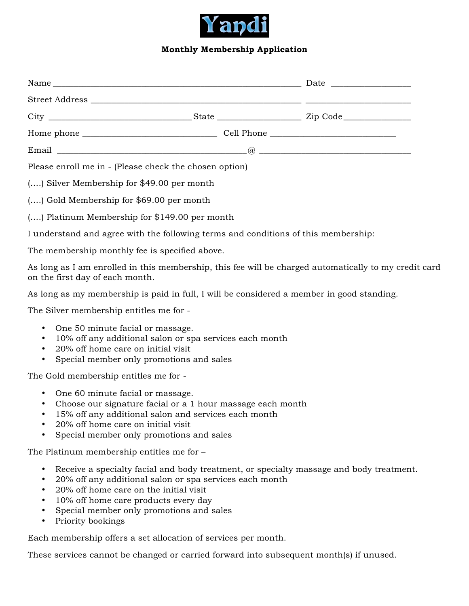

## **Monthly Membership Application**

| Please enroll me in - (Please check the chosen option)                             |  |  |
|------------------------------------------------------------------------------------|--|--|
| () Silver Membership for \$49.00 per month                                         |  |  |
| () Gold Membership for \$69.00 per month                                           |  |  |
| () Platinum Membership for \$149.00 per month                                      |  |  |
| I understand and agree with the following terms and conditions of this membership: |  |  |

The membership monthly fee is specified above.

As long as I am enrolled in this membership, this fee will be charged automatically to my credit card on the first day of each month.

As long as my membership is paid in full, I will be considered a member in good standing.

The Silver membership entitles me for -

- One 50 minute facial or massage.
- 10% off any additional salon or spa services each month
- 20% off home care on initial visit
- Special member only promotions and sales

The Gold membership entitles me for -

- One 60 minute facial or massage.
- Choose our signature facial or a 1 hour massage each month
- 15% off any additional salon and services each month
- 20% off home care on initial visit
- Special member only promotions and sales

The Platinum membership entitles me for –

- Receive a specialty facial and body treatment, or specialty massage and body treatment.
- 20% off any additional salon or spa services each month
- 20% off home care on the initial visit
- 10% off home care products every day
- Special member only promotions and sales
- Priority bookings

Each membership offers a set allocation of services per month.

These services cannot be changed or carried forward into subsequent month(s) if unused.